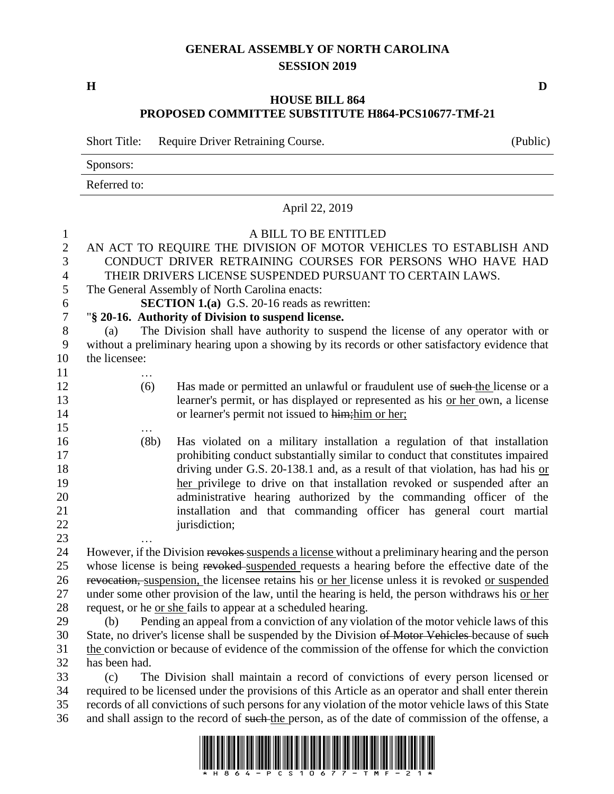# **GENERAL ASSEMBLY OF NORTH CAROLINA SESSION 2019**

**H D**

## **HOUSE BILL 864 PROPOSED COMMITTEE SUBSTITUTE H864-PCS10677-TMf-21**

Short Title: Require Driver Retraining Course. (Public)

Sponsors:

Referred to:

|                  | Referred to:                                                                                                                                                        |  |  |  |  |
|------------------|---------------------------------------------------------------------------------------------------------------------------------------------------------------------|--|--|--|--|
|                  | April 22, 2019                                                                                                                                                      |  |  |  |  |
| $\mathbf{1}$     | A BILL TO BE ENTITLED                                                                                                                                               |  |  |  |  |
| $\overline{2}$   | AN ACT TO REQUIRE THE DIVISION OF MOTOR VEHICLES TO ESTABLISH AND                                                                                                   |  |  |  |  |
| 3                | CONDUCT DRIVER RETRAINING COURSES FOR PERSONS WHO HAVE HAD                                                                                                          |  |  |  |  |
| $\overline{4}$   | THEIR DRIVERS LICENSE SUSPENDED PURSUANT TO CERTAIN LAWS.                                                                                                           |  |  |  |  |
| 5                | The General Assembly of North Carolina enacts:                                                                                                                      |  |  |  |  |
| 6                | <b>SECTION 1.(a)</b> G.S. 20-16 reads as rewritten:                                                                                                                 |  |  |  |  |
| $\boldsymbol{7}$ | "§ 20-16. Authority of Division to suspend license.                                                                                                                 |  |  |  |  |
| 8                | The Division shall have authority to suspend the license of any operator with or<br>(a)                                                                             |  |  |  |  |
| 9                | without a preliminary hearing upon a showing by its records or other satisfactory evidence that                                                                     |  |  |  |  |
| 10               | the licensee:                                                                                                                                                       |  |  |  |  |
| 11               |                                                                                                                                                                     |  |  |  |  |
| 12               | Has made or permitted an unlawful or fraudulent use of such-the license or a<br>(6)                                                                                 |  |  |  |  |
| 13               | learner's permit, or has displayed or represented as his or her own, a license                                                                                      |  |  |  |  |
| 14               | or learner's permit not issued to him; him or her;                                                                                                                  |  |  |  |  |
| 15               |                                                                                                                                                                     |  |  |  |  |
| 16<br>17         | (8b)<br>Has violated on a military installation a regulation of that installation<br>prohibiting conduct substantially similar to conduct that constitutes impaired |  |  |  |  |
| 18               | driving under G.S. 20-138.1 and, as a result of that violation, has had his $or$                                                                                    |  |  |  |  |
| 19               | her privilege to drive on that installation revoked or suspended after an                                                                                           |  |  |  |  |
| 20               | administrative hearing authorized by the commanding officer of the                                                                                                  |  |  |  |  |
| 21               | installation and that commanding officer has general court martial                                                                                                  |  |  |  |  |
| 22               | jurisdiction;                                                                                                                                                       |  |  |  |  |
| 23               |                                                                                                                                                                     |  |  |  |  |
| 24               | However, if the Division revokes suspends a license without a preliminary hearing and the person                                                                    |  |  |  |  |
| 25               | whose license is being revoked suspended requests a hearing before the effective date of the                                                                        |  |  |  |  |
| 26               | revocation, suspension, the licensee retains his or her license unless it is revoked or suspended                                                                   |  |  |  |  |
| 27               | under some other provision of the law, until the hearing is held, the person withdraws his or her                                                                   |  |  |  |  |
| 28               | request, or he <u>or she</u> fails to appear at a scheduled hearing.                                                                                                |  |  |  |  |
| 29               | Pending an appeal from a conviction of any violation of the motor vehicle laws of this<br>(b)                                                                       |  |  |  |  |
| 30               | State, no driver's license shall be suspended by the Division of Motor Vehicles-because of such                                                                     |  |  |  |  |
| 31               | the conviction or because of evidence of the commission of the offense for which the conviction                                                                     |  |  |  |  |
| 32               | has been had.                                                                                                                                                       |  |  |  |  |
| 33               | The Division shall maintain a record of convictions of every person licensed or<br>(c)                                                                              |  |  |  |  |
| $\Omega$         | $f(t)$ , and $f(t)$ , and $f(t)$ is the probability of $f(t)$ . And the construction of the H state of the state                                                    |  |  |  |  |

 required to be licensed under the provisions of this Article as an operator and shall enter therein records of all convictions of such persons for any violation of the motor vehicle laws of this State 36 and shall assign to the record of such the person, as of the date of commission of the offense, a

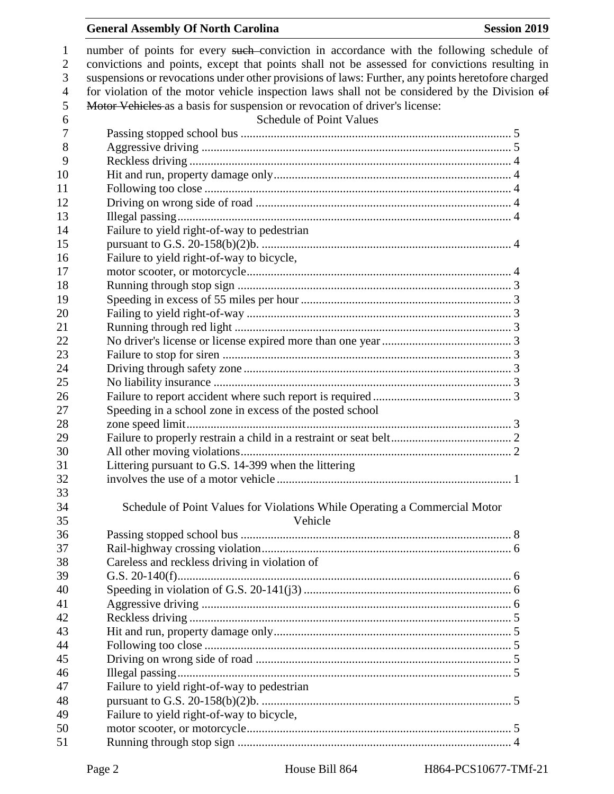#### General Assembly Of North Carolina **Session 2019**

1 number of points for every such conviction in accordance with the following schedule of convictions and points, except that points shall not be assessed for convictions resulting in suspensions or revocations under other provisions of laws: Further, any points heretofore charged for violation of the motor vehicle inspection laws shall not be considered by the Division of Motor Vehicles as a basis for suspension or revocation of driver's license: Schedule of Point Values Passing stopped school bus .......................................................................................... 5 Aggressive driving ....................................................................................................... 5 Reckless driving ........................................................................................................... 4 Hit and run, property damage only............................................................................... 4 Following too close ...................................................................................................... 4 Driving on wrong side of road ..................................................................................... 4 Illegal passing............................................................................................................... 4 Failure to yield right-of-way to pedestrian pursuant to G.S. 20-158(b)(2)b. ................................................................................... 4 Failure to yield right-of-way to bicycle, motor scooter, or motorcycle........................................................................................ 4 Running through stop sign ........................................................................................... 3 Speeding in excess of 55 miles per hour ...................................................................... 3 Failing to yield right-of-way ........................................................................................ 3 Running through red light ............................................................................................ 3 No driver's license or license expired more than one year........................................... 3 Failure to stop for siren ................................................................................................ 3 Driving through safety zone ......................................................................................... 3 No liability insurance ................................................................................................... 3 Failure to report accident where such report is required .............................................. 3 Speeding in a school zone in excess of the posted school zone speed limit............................................................................................................ 3 Failure to properly restrain a child in a restraint or seat belt........................................ 2 All other moving violations.......................................................................................... 2 Littering pursuant to G.S. 14-399 when the littering involves the use of a motor vehicle .............................................................................. 1 Schedule of Point Values for Violations While Operating a Commercial Motor Vehicle Passing stopped school bus .......................................................................................... 8 Rail-highway crossing violation................................................................................... 6 Careless and reckless driving in violation of G.S. 20-140(f)............................................................................................................... 6 Speeding in violation of G.S. 20-141(j3) ..................................................................... 6 Aggressive driving ....................................................................................................... 6 Reckless driving ........................................................................................................... 5 Hit and run, property damage only............................................................................... 5 Following too close ...................................................................................................... 5 Driving on wrong side of road ..................................................................................... 5 Illegal passing............................................................................................................... 5 Failure to yield right-of-way to pedestrian pursuant to G.S. 20-158(b)(2)b. ................................................................................... 5 Failure to yield right-of-way to bicycle, motor scooter, or motorcycle........................................................................................ 5 Running through stop sign ........................................................................................... 4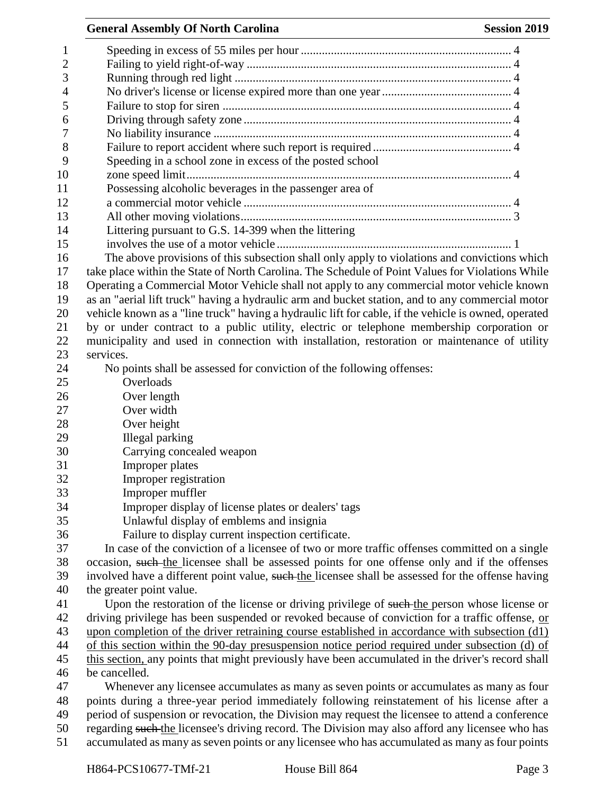| <b>General Assembly Of North Carolina</b><br><b>Session 2019</b>                                     |
|------------------------------------------------------------------------------------------------------|
|                                                                                                      |
|                                                                                                      |
|                                                                                                      |
|                                                                                                      |
|                                                                                                      |
|                                                                                                      |
|                                                                                                      |
|                                                                                                      |
| Speeding in a school zone in excess of the posted school                                             |
|                                                                                                      |
| Possessing alcoholic beverages in the passenger area of                                              |
|                                                                                                      |
|                                                                                                      |
| Littering pursuant to G.S. 14-399 when the littering                                                 |
|                                                                                                      |
| The above provisions of this subsection shall only apply to violations and convictions which         |
| take place within the State of North Carolina. The Schedule of Point Values for Violations While     |
| Operating a Commercial Motor Vehicle shall not apply to any commercial motor vehicle known           |
| as an "aerial lift truck" having a hydraulic arm and bucket station, and to any commercial motor     |
| vehicle known as a "line truck" having a hydraulic lift for cable, if the vehicle is owned, operated |
| by or under contract to a public utility, electric or telephone membership corporation or            |
| municipality and used in connection with installation, restoration or maintenance of utility         |
| services.                                                                                            |
| No points shall be assessed for conviction of the following offenses:                                |
| Overloads                                                                                            |
| Over length                                                                                          |
| Over width                                                                                           |
| Over height                                                                                          |
| Illegal parking                                                                                      |
| Carrying concealed weapon                                                                            |
| Improper plates                                                                                      |
| Improper registration                                                                                |
| Improper muffler                                                                                     |
| Improper display of license plates or dealers' tags                                                  |
| Unlawful display of emblems and insignia                                                             |
| Failure to display current inspection certificate.                                                   |
| In case of the conviction of a licensee of two or more traffic offenses committed on a single        |
| occasion, such the licensee shall be assessed points for one offense only and if the offenses        |
| involved have a different point value, such the licensee shall be assessed for the offense having    |
| the greater point value.                                                                             |
| Upon the restoration of the license or driving privilege of such-the person whose license or         |
| driving privilege has been suspended or revoked because of conviction for a traffic offense, or      |
| upon completion of the driver retraining course established in accordance with subsection (d1)       |
| of this section within the 90-day presuspension notice period required under subsection (d) of       |
| this section, any points that might previously have been accumulated in the driver's record shall    |
| be cancelled.                                                                                        |
| Whenever any licensee accumulates as many as seven points or accumulates as many as four             |
| points during a three-year period immediately following reinstatement of his license after a         |
| period of suspension or revocation, the Division may request the licensee to attend a conference     |
| regarding such the licensee's driving record. The Division may also afford any licensee who has      |

50 regarding such the licensee's driving record. The Division may also afford any licensee who has accumulated as many as seven points or any licensee who has accumulated as many as four points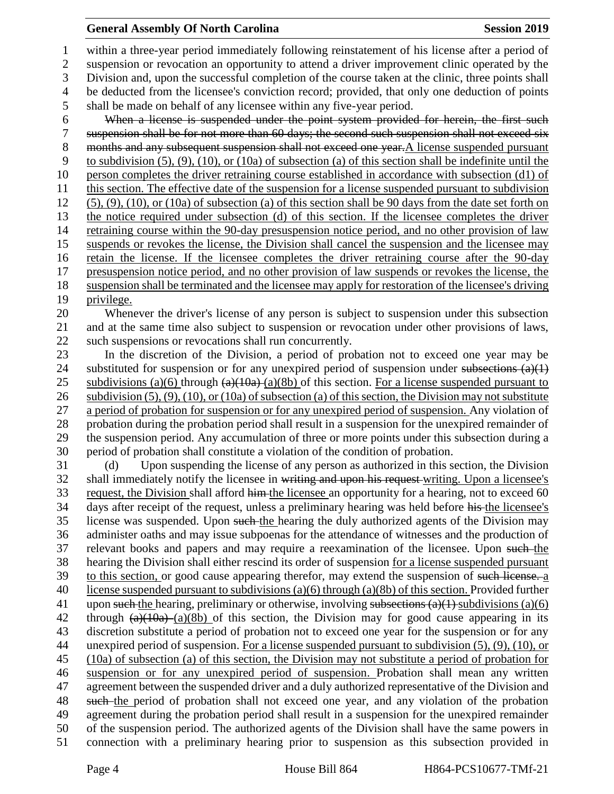### **General Assembly Of North Carolina Session 2019 Session 2019**

 within a three-year period immediately following reinstatement of his license after a period of suspension or revocation an opportunity to attend a driver improvement clinic operated by the Division and, upon the successful completion of the course taken at the clinic, three points shall be deducted from the licensee's conviction record; provided, that only one deduction of points shall be made on behalf of any licensee within any five-year period. When a license is suspended under the point system provided for herein, the first such suspension shall be for not more than 60 days; the second such suspension shall not exceed six 8 months and any subsequent suspension shall not exceed one year. A license suspended pursuant to subdivision (5), (9), (10), or (10a) of subsection (a) of this section shall be indefinite until the person completes the driver retraining course established in accordance with subsection (d1) of this section. The effective date of the suspension for a license suspended pursuant to subdivision 12 (5), (9), (10), or (10a) of subsection (a) of this section shall be 90 days from the date set forth on the notice required under subsection (d) of this section. If the licensee completes the driver retraining course within the 90-day presuspension notice period, and no other provision of law suspends or revokes the license, the Division shall cancel the suspension and the licensee may retain the license. If the licensee completes the driver retraining course after the 90-day presuspension notice period, and no other provision of law suspends or revokes the license, the suspension shall be terminated and the licensee may apply for restoration of the licensee's driving privilege. Whenever the driver's license of any person is subject to suspension under this subsection and at the same time also subject to suspension or revocation under other provisions of laws, such suspensions or revocations shall run concurrently. In the discretion of the Division, a period of probation not to exceed one year may be 24 substituted for suspension or for any unexpired period of suspension under subsections  $(a)(1)$ 25 subdivisions (a)(6) through  $(a)(10a)$  (a)(8b) of this section. For a license suspended pursuant to subdivision (5), (9), (10), or (10a) of subsection (a) of this section, the Division may not substitute a period of probation for suspension or for any unexpired period of suspension. Any violation of probation during the probation period shall result in a suspension for the unexpired remainder of the suspension period. Any accumulation of three or more points under this subsection during a period of probation shall constitute a violation of the condition of probation. (d) Upon suspending the license of any person as authorized in this section, the Division 32 shall immediately notify the licensee in writing and upon his request writing. Upon a licensee's 33 request, the Division shall afford him the licensee an opportunity for a hearing, not to exceed 60 34 days after receipt of the request, unless a preliminary hearing was held before his the licensee's license was suspended. Upon such the hearing the duly authorized agents of the Division may administer oaths and may issue subpoenas for the attendance of witnesses and the production of relevant books and papers and may require a reexamination of the licensee. Upon such the hearing the Division shall either rescind its order of suspension for a license suspended pursuant 39 to this section, or good cause appearing therefor, may extend the suspension of such license. a license suspended pursuant to subdivisions (a)(6) through (a)(8b) of this section. Provided further 41 upon such the hearing, preliminary or otherwise, involving subsections  $(a)(1)$  subdivisions  $(a)(6)$ 42 through  $(a)(10a)$  (a)(8b) of this section, the Division may for good cause appearing in its discretion substitute a period of probation not to exceed one year for the suspension or for any unexpired period of suspension. For a license suspended pursuant to subdivision (5), (9), (10), or (10a) of subsection (a) of this section, the Division may not substitute a period of probation for suspension or for any unexpired period of suspension. Probation shall mean any written agreement between the suspended driver and a duly authorized representative of the Division and 48 such the period of probation shall not exceed one year, and any violation of the probation agreement during the probation period shall result in a suspension for the unexpired remainder of the suspension period. The authorized agents of the Division shall have the same powers in

connection with a preliminary hearing prior to suspension as this subsection provided in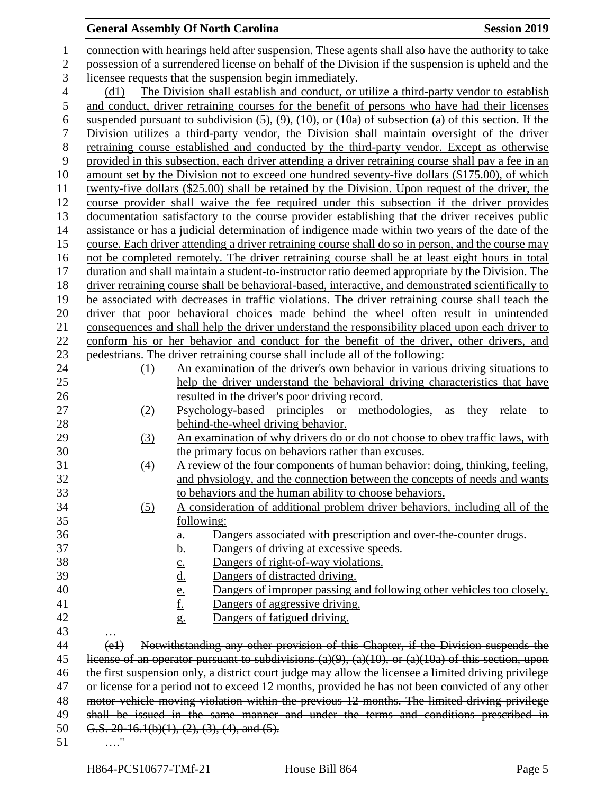# **General Assembly Of North Carolina Session 2019**

| $\mathbf{1}$   |                                                                                                   | connection with hearings held after suspension. These agents shall also have the authority to take                |  |  |  |
|----------------|---------------------------------------------------------------------------------------------------|-------------------------------------------------------------------------------------------------------------------|--|--|--|
| $\mathbf{2}$   | possession of a surrendered license on behalf of the Division if the suspension is upheld and the |                                                                                                                   |  |  |  |
| 3              | licensee requests that the suspension begin immediately.                                          |                                                                                                                   |  |  |  |
| $\overline{4}$ | The Division shall establish and conduct, or utilize a third-party vendor to establish<br>(d1)    |                                                                                                                   |  |  |  |
| 5              |                                                                                                   | and conduct, driver retraining courses for the benefit of persons who have had their licenses                     |  |  |  |
| 6              |                                                                                                   | suspended pursuant to subdivision $(5)$ , $(9)$ , $(10)$ , or $(10a)$ of subsection $(a)$ of this section. If the |  |  |  |
| $\tau$         |                                                                                                   | Division utilizes a third-party vendor, the Division shall maintain oversight of the driver                       |  |  |  |
| $8\,$          |                                                                                                   | retraining course established and conducted by the third-party vendor. Except as otherwise                        |  |  |  |
| 9              |                                                                                                   | provided in this subsection, each driver attending a driver retraining course shall pay a fee in an               |  |  |  |
| 10             |                                                                                                   | amount set by the Division not to exceed one hundred seventy-five dollars (\$175.00), of which                    |  |  |  |
| 11             |                                                                                                   | twenty-five dollars (\$25.00) shall be retained by the Division. Upon request of the driver, the                  |  |  |  |
| 12             |                                                                                                   | course provider shall waive the fee required under this subsection if the driver provides                         |  |  |  |
| 13             |                                                                                                   | documentation satisfactory to the course provider establishing that the driver receives public                    |  |  |  |
| 14             |                                                                                                   | assistance or has a judicial determination of indigence made within two years of the date of the                  |  |  |  |
| 15             |                                                                                                   | course. Each driver attending a driver retraining course shall do so in person, and the course may                |  |  |  |
| 16             |                                                                                                   | not be completed remotely. The driver retraining course shall be at least eight hours in total                    |  |  |  |
| 17             |                                                                                                   | duration and shall maintain a student-to-instructor ratio deemed appropriate by the Division. The                 |  |  |  |
| 18             |                                                                                                   | driver retraining course shall be behavioral-based, interactive, and demonstrated scientifically to               |  |  |  |
| 19             |                                                                                                   | be associated with decreases in traffic violations. The driver retraining course shall teach the                  |  |  |  |
| 20             |                                                                                                   | driver that poor behavioral choices made behind the wheel often result in unintended                              |  |  |  |
| 21             |                                                                                                   | consequences and shall help the driver understand the responsibility placed upon each driver to                   |  |  |  |
| 22             |                                                                                                   | conform his or her behavior and conduct for the benefit of the driver, other drivers, and                         |  |  |  |
| 23             |                                                                                                   | pedestrians. The driver retraining course shall include all of the following:                                     |  |  |  |
| 24             | (1)                                                                                               | An examination of the driver's own behavior in various driving situations to                                      |  |  |  |
| 25             |                                                                                                   | help the driver understand the behavioral driving characteristics that have                                       |  |  |  |
| 26             |                                                                                                   | resulted in the driver's poor driving record.                                                                     |  |  |  |
| 27             | <u>(2)</u>                                                                                        | Psychology-based principles or methodologies, as they relate<br>to                                                |  |  |  |
| 28             |                                                                                                   | behind-the-wheel driving behavior.                                                                                |  |  |  |
| 29             | (3)                                                                                               | An examination of why drivers do or do not choose to obey traffic laws, with                                      |  |  |  |
| 30             |                                                                                                   | the primary focus on behaviors rather than excuses.                                                               |  |  |  |
| 31             | $\left(4\right)$                                                                                  | A review of the four components of human behavior: doing, thinking, feeling,                                      |  |  |  |
| 32             |                                                                                                   | and physiology, and the connection between the concepts of needs and wants                                        |  |  |  |
| 33             |                                                                                                   | to behaviors and the human ability to choose behaviors.                                                           |  |  |  |
| 34             | (5)                                                                                               | A consideration of additional problem driver behaviors, including all of the                                      |  |  |  |
| 35             |                                                                                                   | following:                                                                                                        |  |  |  |
| 36             |                                                                                                   | Dangers associated with prescription and over-the-counter drugs.<br><u>a.</u>                                     |  |  |  |
| 37             |                                                                                                   | <u>b.</u><br>Dangers of driving at excessive speeds.                                                              |  |  |  |
| 38             |                                                                                                   | Dangers of right-of-way violations.<br>$\underline{\mathbf{C}}$ .                                                 |  |  |  |
| 39             |                                                                                                   | <u>d.</u><br>Dangers of distracted driving.                                                                       |  |  |  |
| 40             |                                                                                                   | Dangers of improper passing and following other vehicles too closely.<br>$\frac{e}{f}$                            |  |  |  |
| 41<br>42       |                                                                                                   | Dangers of aggressive driving.                                                                                    |  |  |  |
| 43             |                                                                                                   | Dangers of fatigued driving.<br>$g_{\cdot}$                                                                       |  |  |  |
| 44             | (e1)                                                                                              | Notwithstanding any other provision of this Chapter, if the Division suspends the                                 |  |  |  |
| 45             |                                                                                                   | license of an operator pursuant to subdivisions $(a)(9)$ , $(a)(10)$ , or $(a)(10a)$ of this section, upon        |  |  |  |
| 46             |                                                                                                   | the first suspension only, a district court judge may allow the licensee a limited driving privilege              |  |  |  |
| 47             |                                                                                                   | or license for a period not to exceed 12 months, provided he has not been convicted of any other                  |  |  |  |
| 48             |                                                                                                   | motor vehicle moving violation within the previous 12 months. The limited driving privilege                       |  |  |  |
| 49             |                                                                                                   | shall be issued in the same manner and under the terms and conditions prescribed in                               |  |  |  |
| 50             |                                                                                                   | G.S. 20-16.1(b)(1), (2), (3), (4), and (5).                                                                       |  |  |  |
| 51             |                                                                                                   |                                                                                                                   |  |  |  |
|                |                                                                                                   |                                                                                                                   |  |  |  |